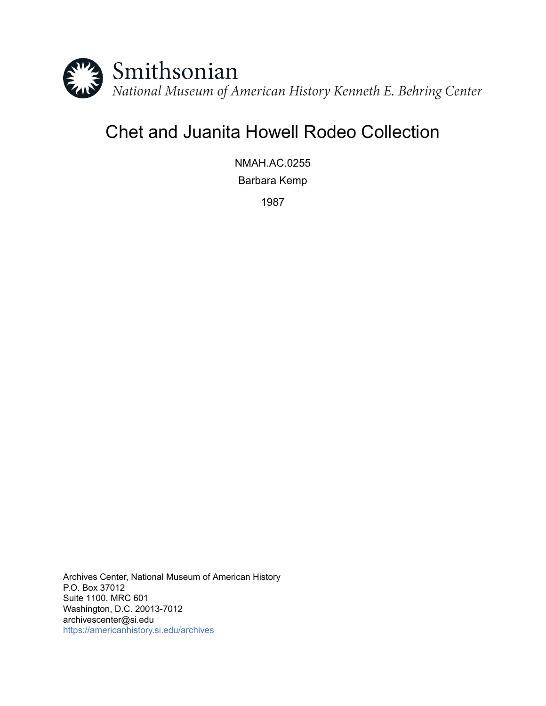

# Chet and Juanita Howell Rodeo Collection

NMAH.AC.0255 Barbara Kemp

1987

Archives Center, National Museum of American History P.O. Box 37012 Suite 1100, MRC 601 Washington, D.C. 20013-7012 archivescenter@si.edu <https://americanhistory.si.edu/archives>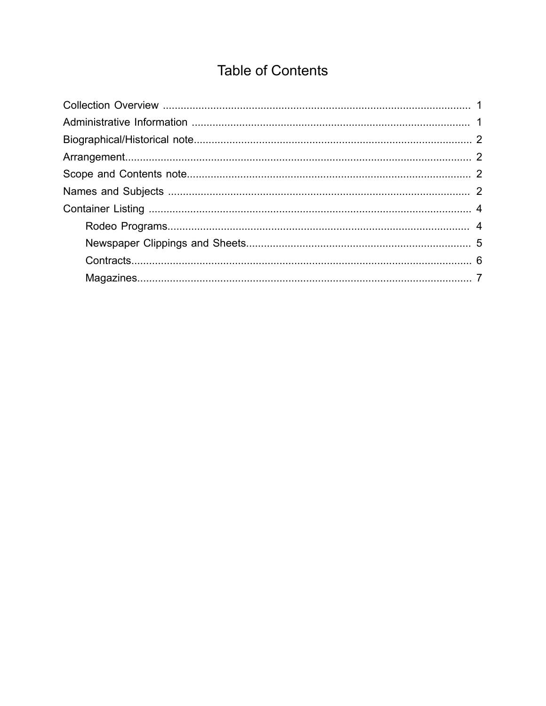## **Table of Contents**

<span id="page-1-0"></span>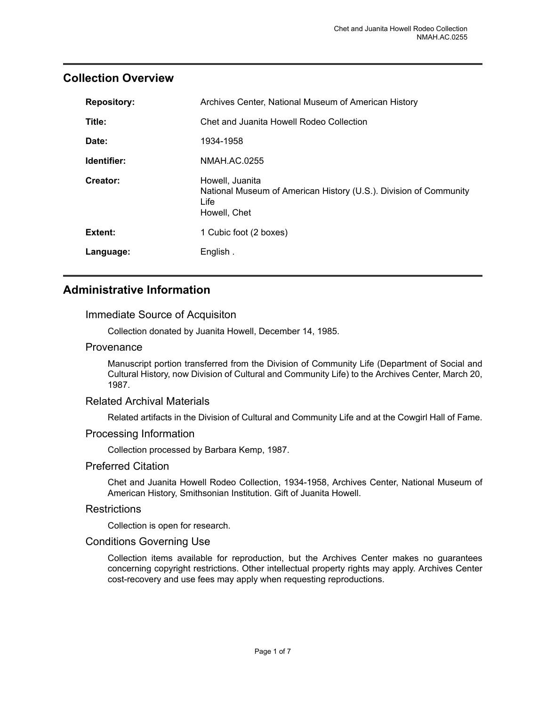### <span id="page-2-0"></span>**Collection Overview**

| <b>Repository:</b> | Archives Center, National Museum of American History                                                         |
|--------------------|--------------------------------------------------------------------------------------------------------------|
| Title:             | Chet and Juanita Howell Rodeo Collection                                                                     |
| Date:              | 1934-1958                                                                                                    |
| Identifier:        | NMAH.AC.0255                                                                                                 |
| Creator:           | Howell, Juanita<br>National Museum of American History (U.S.). Division of Community<br>Life<br>Howell, Chet |
| Extent:            | 1 Cubic foot (2 boxes)                                                                                       |
| Language:          | English.                                                                                                     |

### <span id="page-2-1"></span>**Administrative Information**

#### Immediate Source of Acquisiton

Collection donated by Juanita Howell, December 14, 1985.

#### **Provenance**

Manuscript portion transferred from the Division of Community Life (Department of Social and Cultural History, now Division of Cultural and Community Life) to the Archives Center, March 20, 1987.

#### Related Archival Materials

Related artifacts in the Division of Cultural and Community Life and at the Cowgirl Hall of Fame.

#### Processing Information

Collection processed by Barbara Kemp, 1987.

#### Preferred Citation

Chet and Juanita Howell Rodeo Collection, 1934-1958, Archives Center, National Museum of American History, Smithsonian Institution. Gift of Juanita Howell.

#### **Restrictions**

Collection is open for research.

#### Conditions Governing Use

Collection items available for reproduction, but the Archives Center makes no guarantees concerning copyright restrictions. Other intellectual property rights may apply. Archives Center cost-recovery and use fees may apply when requesting reproductions.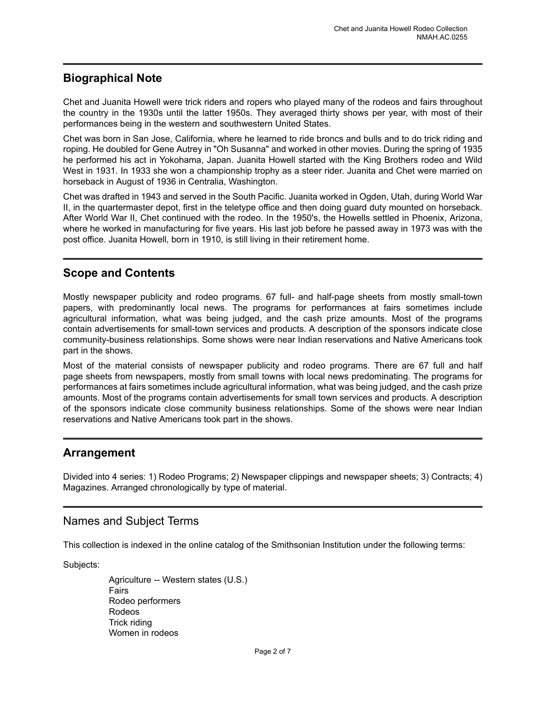## <span id="page-3-0"></span>**Biographical Note**

Chet and Juanita Howell were trick riders and ropers who played many of the rodeos and fairs throughout the country in the 1930s until the latter 1950s. They averaged thirty shows per year, with most of their performances being in the western and southwestern United States.

Chet was born in San Jose, California, where he learned to ride broncs and bulls and to do trick riding and roping. He doubled for Gene Autrey in "Oh Susanna" and worked in other movies. During the spring of 1935 he performed his act in Yokohama, Japan. Juanita Howell started with the King Brothers rodeo and Wild West in 1931. In 1933 she won a championship trophy as a steer rider. Juanita and Chet were married on horseback in August of 1936 in Centralia, Washington.

Chet was drafted in 1943 and served in the South Pacific. Juanita worked in Ogden, Utah, during World War II, in the quartermaster depot, first in the teletype office and then doing guard duty mounted on horseback. After World War II, Chet continued with the rodeo. In the 1950's, the Howells settled in Phoenix, Arizona, where he worked in manufacturing for five years. His last job before he passed away in 1973 was with the post office. Juanita Howell, born in 1910, is still living in their retirement home.

### <span id="page-3-2"></span>**Scope and Contents**

Mostly newspaper publicity and rodeo programs. 67 full- and half-page sheets from mostly small-town papers, with predominantly local news. The programs for performances at fairs sometimes include agricultural information, what was being judged, and the cash prize amounts. Most of the programs contain advertisements for small-town services and products. A description of the sponsors indicate close community-business relationships. Some shows were near Indian reservations and Native Americans took part in the shows.

Most of the material consists of newspaper publicity and rodeo programs. There are 67 full and half page sheets from newspapers, mostly from small towns with local news predominating. The programs for performances at fairs sometimes include agricultural information, what was being judged, and the cash prize amounts. Most of the programs contain advertisements for small town services and products. A description of the sponsors indicate close community business relationships. Some of the shows were near Indian reservations and Native Americans took part in the shows.

## <span id="page-3-1"></span>**Arrangement**

Divided into 4 series: 1) Rodeo Programs; 2) Newspaper clippings and newspaper sheets; 3) Contracts; 4) Magazines. Arranged chronologically by type of material.

### <span id="page-3-3"></span>Names and Subject Terms

This collection is indexed in the online catalog of the Smithsonian Institution under the following terms:

Subjects:

Agriculture -- Western states (U.S.) Fairs Rodeo performers Rodeos Trick riding Women in rodeos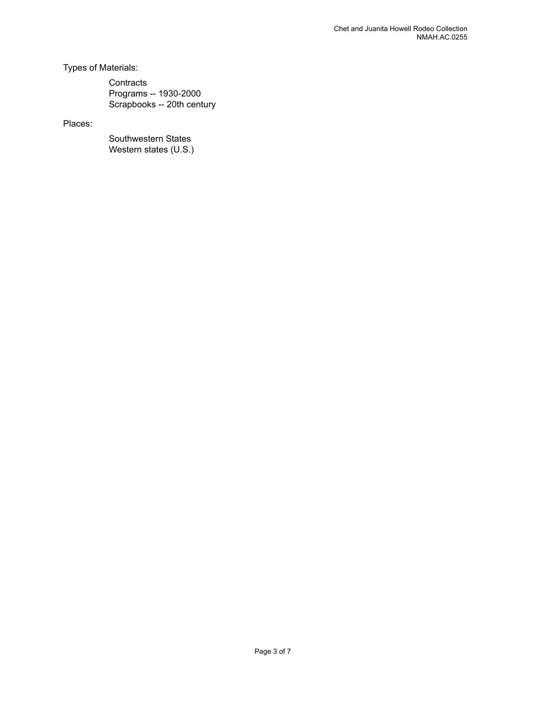Types of Materials:

**Contracts** Programs -- 1930-2000 Scrapbooks -- 20th century

Places:

Southwestern States Western states (U.S.)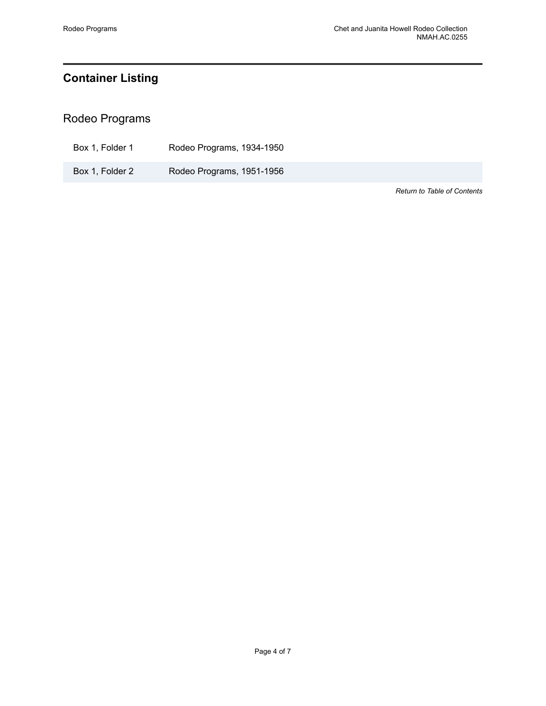## <span id="page-5-0"></span>**Container Listing**

## <span id="page-5-1"></span>Rodeo Programs

| Box 1, Folder 2 | Rodeo Programs, 1951-1956 |
|-----------------|---------------------------|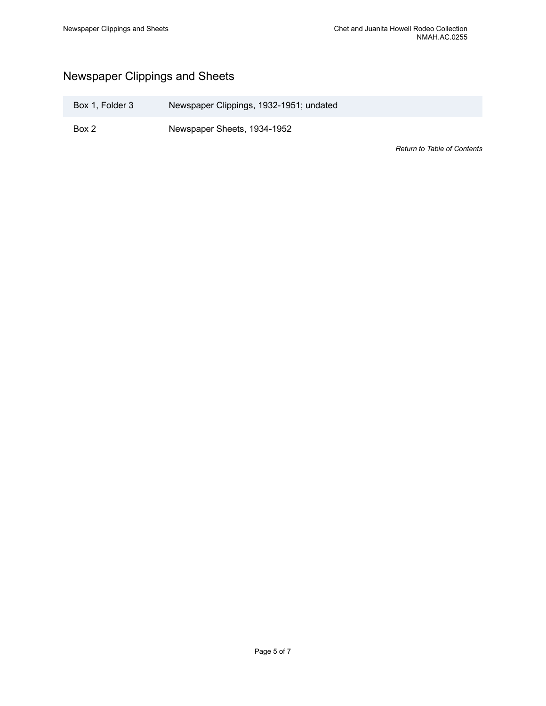## <span id="page-6-0"></span>Newspaper Clippings and Sheets

Box 1, Folder 3 Newspaper Clippings, 1932-1951; undated

Box 2 Newspaper Sheets, 1934-1952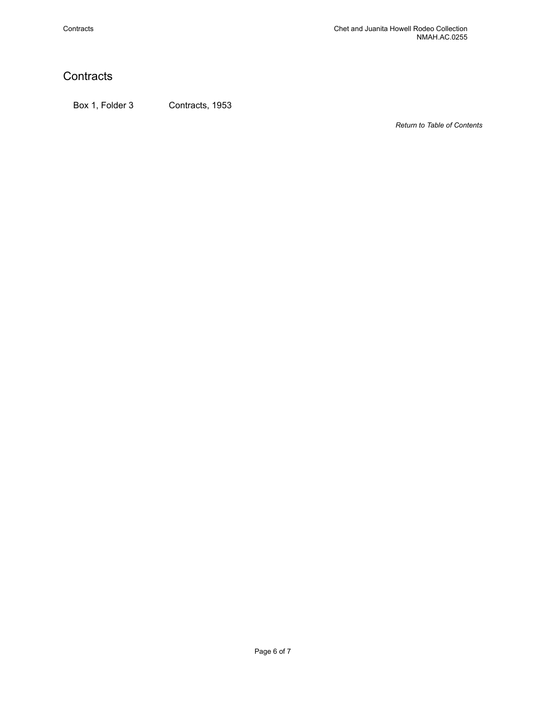## <span id="page-7-0"></span>**Contracts**

Box 1, Folder 3 Contracts, 1953